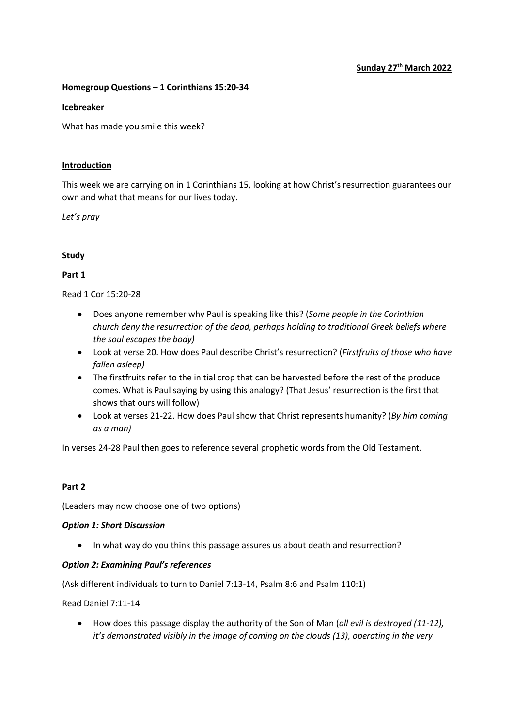## Sunday 27<sup>th</sup> March 2022

#### Homegroup Questions – 1 Corinthians 15:20-34

#### **Icebreaker**

What has made you smile this week?

#### **Introduction**

This week we are carrying on in 1 Corinthians 15, looking at how Christ's resurrection guarantees our own and what that means for our lives today.

Let's pray

## Study

## Part 1

Read 1 Cor 15:20-28

- Does anyone remember why Paul is speaking like this? (Some people in the Corinthian church deny the resurrection of the dead, perhaps holding to traditional Greek beliefs where the soul escapes the body)
- Look at verse 20. How does Paul describe Christ's resurrection? (Firstfruits of those who have fallen asleep)
- The firstfruits refer to the initial crop that can be harvested before the rest of the produce comes. What is Paul saying by using this analogy? (That Jesus' resurrection is the first that shows that ours will follow)
- Look at verses 21-22. How does Paul show that Christ represents humanity? (By him coming as a man)

In verses 24-28 Paul then goes to reference several prophetic words from the Old Testament.

#### Part 2

(Leaders may now choose one of two options)

#### Option 1: Short Discussion

• In what way do you think this passage assures us about death and resurrection?

#### Option 2: Examining Paul's references

(Ask different individuals to turn to Daniel 7:13-14, Psalm 8:6 and Psalm 110:1)

Read Daniel 7:11-14

• How does this passage display the authority of the Son of Man (all evil is destroyed (11-12), it's demonstrated visibly in the image of coming on the clouds (13), operating in the very